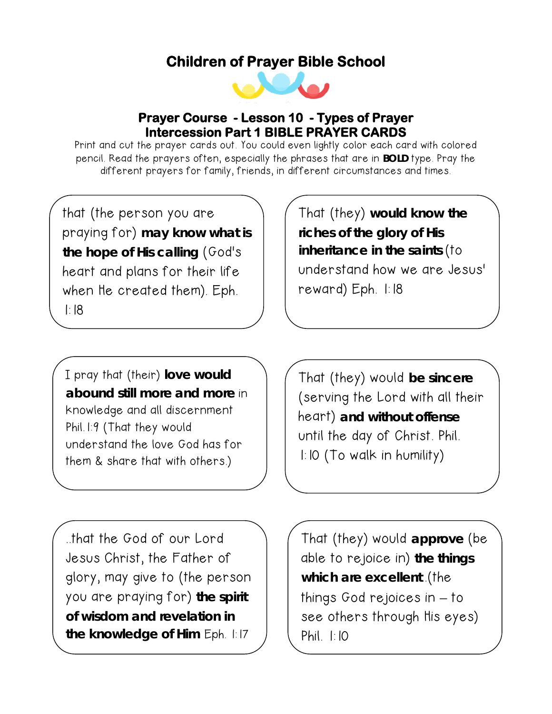## **Children of Prayer Bible School**



## **Prayer Course - Lesson 10 - Types of Prayer Intercession Part 1 BIBLE PRAYER CARDS**

Print and cut the prayer cards out. You could even lightly color each card with colored pencil. Read the prayers often, especially the phrases that are in **BOLD** type. Pray the different prayers for family, friends, in different circumstances and times.

that (the person you are praying for) **may know what is the hope of His calling** (God's heart and plans for their life when He created them). Eph. 1:18

That (they) **would know the riches of the glory of His inheritance in the saints** (to understand how we are Jesus' reward) Eph. 1:18

I pray that (their) **love would abound still more and more** in knowledge and all discernment Phil.1:9 (That they would understand the love God has for them & share that with others.)

That (they) would **be sincere** (serving the Lord with all their heart) **and without offense** until the day of Christ. Phil. 1:10 (To walk in humility)

..that the God of our Lord Jesus Christ, the Father of glory, may give to (the person you are praying for) **the spirit of wisdom and revelation in the knowledge of Him** Eph. 1:17

That (they) would **approve** (be able to rejoice in) **the things which are excellent**..(the things God rejoices in – to see others through His eyes) Phil. 1:10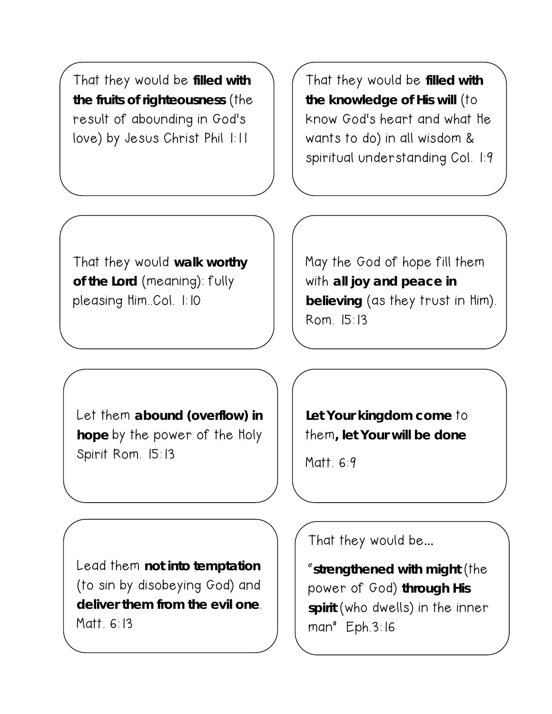That they would be **filled with the fruits of righteousness** (the result of abounding in God's love) by Jesus Christ Phil 1:11

That they would be **filled with the knowledge of His will** (to know God's heart and what He wants to do) in all wisdom & spiritual understanding Col. 1:9

That they would **walk worthy of the Lord** (meaning): fully pleasing Him..Col. 1:10

May the God of hope fill them with **all joy and peace in believing** (as they trust in Him). Rom. 15:13

Let them **abound (overflow) in hope** by the power of the Holy Spirit Rom. 15:13

Lead them **not into temptation** (to sin by disobeying God) and **deliver them from the evil one**. Matt. 6:13

**Let Your kingdom come** to them**, let Your will be done**

Matt. 6:9

 $\overline{a}$ 

That they would be…

"**strengthened with might** (the power of God) **through His spirit** (who dwells) in the inner man" Eph.3:16